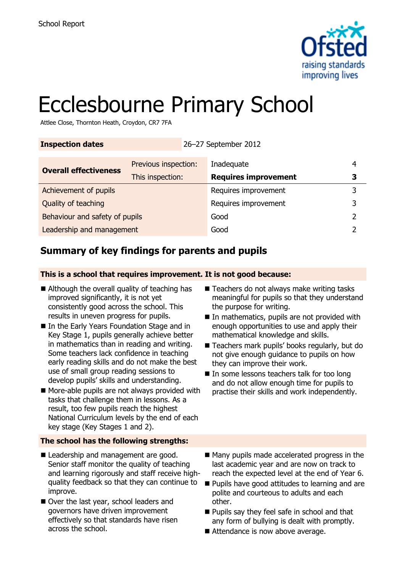

# Ecclesbourne Primary School

Attlee Close, Thornton Heath, Croydon, CR7 7FA

| <b>Inspection dates</b>        | 26-27 September 2012 |  |                             |   |  |
|--------------------------------|----------------------|--|-----------------------------|---|--|
| <b>Overall effectiveness</b>   | Previous inspection: |  | Inadequate                  | 4 |  |
|                                | This inspection:     |  | <b>Requires improvement</b> | З |  |
| Achievement of pupils          |                      |  | Requires improvement        | 3 |  |
| Quality of teaching            |                      |  | Requires improvement        | 3 |  |
| Behaviour and safety of pupils |                      |  | Good                        |   |  |
| Leadership and management      |                      |  | Good                        |   |  |

# **Summary of key findings for parents and pupils**

**This is a school that requires improvement. It is not good because:**

- Although the overall quality of teaching has improved significantly, it is not yet consistently good across the school. This results in uneven progress for pupils.
- In the Early Years Foundation Stage and in Key Stage 1, pupils generally achieve better in mathematics than in reading and writing. Some teachers lack confidence in teaching early reading skills and do not make the best use of small group reading sessions to develop pupils' skills and understanding.
- More-able pupils are not always provided with tasks that challenge them in lessons. As a result, too few pupils reach the highest National Curriculum levels by the end of each key stage (Key Stages 1 and 2).

### **The school has the following strengths:**

- Leadership and management are good. Senior staff monitor the quality of teaching and learning rigorously and staff receive highquality feedback so that they can continue to improve.
- Over the last year, school leaders and governors have driven improvement effectively so that standards have risen across the school.
- Teachers do not always make writing tasks meaningful for pupils so that they understand the purpose for writing.
- In mathematics, pupils are not provided with enough opportunities to use and apply their mathematical knowledge and skills.
- Teachers mark pupils' books regularly, but do not give enough guidance to pupils on how they can improve their work.
- $\blacksquare$  In some lessons teachers talk for too long and do not allow enough time for pupils to practise their skills and work independently.
- Many pupils made accelerated progress in the last academic year and are now on track to reach the expected level at the end of Year 6.
- **Pupils have good attitudes to learning and are** polite and courteous to adults and each other.
- **Pupils say they feel safe in school and that** any form of bullying is dealt with promptly.
- Attendance is now above average.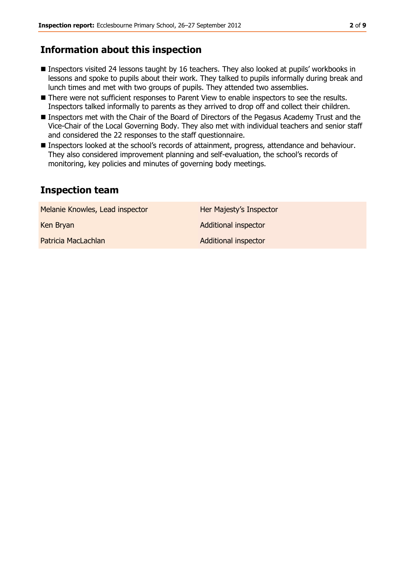# **Information about this inspection**

- Inspectors visited 24 lessons taught by 16 teachers. They also looked at pupils' workbooks in lessons and spoke to pupils about their work. They talked to pupils informally during break and lunch times and met with two groups of pupils. They attended two assemblies.
- There were not sufficient responses to Parent View to enable inspectors to see the results. Inspectors talked informally to parents as they arrived to drop off and collect their children.
- Inspectors met with the Chair of the Board of Directors of the Pegasus Academy Trust and the Vice-Chair of the Local Governing Body. They also met with individual teachers and senior staff and considered the 22 responses to the staff questionnaire.
- Inspectors looked at the school's records of attainment, progress, attendance and behaviour. They also considered improvement planning and self-evaluation, the school's records of monitoring, key policies and minutes of governing body meetings.

## **Inspection team**

| Melanie Knowles, Lead inspector | Her Majesty's Inspector     |
|---------------------------------|-----------------------------|
| Ken Bryan                       | <b>Additional inspector</b> |
| Patricia MacLachlan             | <b>Additional inspector</b> |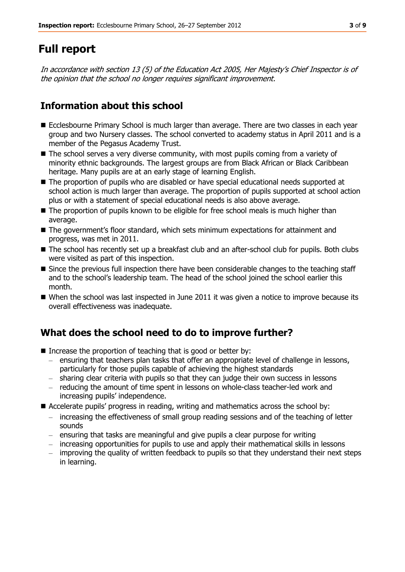# **Full report**

In accordance with section 13 (5) of the Education Act 2005, Her Majesty's Chief Inspector is of the opinion that the school no longer requires significant improvement.

# **Information about this school**

- Ecclesbourne Primary School is much larger than average. There are two classes in each year group and two Nursery classes. The school converted to academy status in April 2011 and is a member of the Pegasus Academy Trust.
- The school serves a very diverse community, with most pupils coming from a variety of minority ethnic backgrounds. The largest groups are from Black African or Black Caribbean heritage. Many pupils are at an early stage of learning English.
- The proportion of pupils who are disabled or have special educational needs supported at school action is much larger than average. The proportion of pupils supported at school action plus or with a statement of special educational needs is also above average.
- The proportion of pupils known to be eligible for free school meals is much higher than average.
- The government's floor standard, which sets minimum expectations for attainment and progress, was met in 2011.
- The school has recently set up a breakfast club and an after-school club for pupils. Both clubs were visited as part of this inspection.
- Since the previous full inspection there have been considerable changes to the teaching staff and to the school's leadership team. The head of the school joined the school earlier this month.
- $\blacksquare$  When the school was last inspected in June 2011 it was given a notice to improve because its overall effectiveness was inadequate.

# **What does the school need to do to improve further?**

- Increase the proportion of teaching that is good or better by:
	- ensuring that teachers plan tasks that offer an appropriate level of challenge in lessons, particularly for those pupils capable of achieving the highest standards
	- sharing clear criteria with pupils so that they can judge their own success in lessons
	- reducing the amount of time spent in lessons on whole-class teacher-led work and increasing pupils' independence.
- Accelerate pupils' progress in reading, writing and mathematics across the school by:
	- increasing the effectiveness of small group reading sessions and of the teaching of letter sounds
	- ensuring that tasks are meaningful and give pupils a clear purpose for writing
	- increasing opportunities for pupils to use and apply their mathematical skills in lessons
	- improving the quality of written feedback to pupils so that they understand their next steps in learning.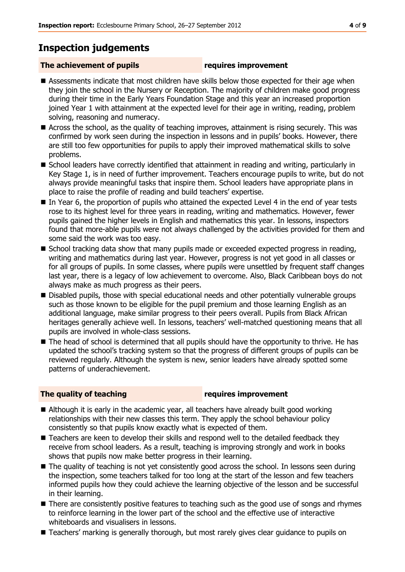# **Inspection judgements**

### **The achievement of pupils requires improvement**

- Assessments indicate that most children have skills below those expected for their age when they join the school in the Nursery or Reception. The majority of children make good progress during their time in the Early Years Foundation Stage and this year an increased proportion joined Year 1 with attainment at the expected level for their age in writing, reading, problem solving, reasoning and numeracy.
- Across the school, as the quality of teaching improves, attainment is rising securely. This was confirmed by work seen during the inspection in lessons and in pupils' books. However, there are still too few opportunities for pupils to apply their improved mathematical skills to solve problems.
- School leaders have correctly identified that attainment in reading and writing, particularly in Key Stage 1, is in need of further improvement. Teachers encourage pupils to write, but do not always provide meaningful tasks that inspire them. School leaders have appropriate plans in place to raise the profile of reading and build teachers' expertise.
- In Year 6, the proportion of pupils who attained the expected Level 4 in the end of year tests rose to its highest level for three years in reading, writing and mathematics. However, fewer pupils gained the higher levels in English and mathematics this year. In lessons, inspectors found that more-able pupils were not always challenged by the activities provided for them and some said the work was too easy.
- School tracking data show that many pupils made or exceeded expected progress in reading, writing and mathematics during last year. However, progress is not yet good in all classes or for all groups of pupils. In some classes, where pupils were unsettled by frequent staff changes last year, there is a legacy of low achievement to overcome. Also, Black Caribbean boys do not always make as much progress as their peers.
- Disabled pupils, those with special educational needs and other potentially vulnerable groups such as those known to be eligible for the pupil premium and those learning English as an additional language, make similar progress to their peers overall. Pupils from Black African heritages generally achieve well. In lessons, teachers' well-matched questioning means that all pupils are involved in whole-class sessions.
- The head of school is determined that all pupils should have the opportunity to thrive. He has updated the school's tracking system so that the progress of different groups of pupils can be reviewed regularly. Although the system is new, senior leaders have already spotted some patterns of underachievement.

#### **The quality of teaching requires improvement**

- Although it is early in the academic year, all teachers have already built good working relationships with their new classes this term. They apply the school behaviour policy consistently so that pupils know exactly what is expected of them.
- Teachers are keen to develop their skills and respond well to the detailed feedback they receive from school leaders. As a result, teaching is improving strongly and work in books shows that pupils now make better progress in their learning.
- The quality of teaching is not yet consistently good across the school. In lessons seen during the inspection, some teachers talked for too long at the start of the lesson and few teachers informed pupils how they could achieve the learning objective of the lesson and be successful in their learning.
- There are consistently positive features to teaching such as the good use of songs and rhymes to reinforce learning in the lower part of the school and the effective use of interactive whiteboards and visualisers in lessons.
- Teachers' marking is generally thorough, but most rarely gives clear guidance to pupils on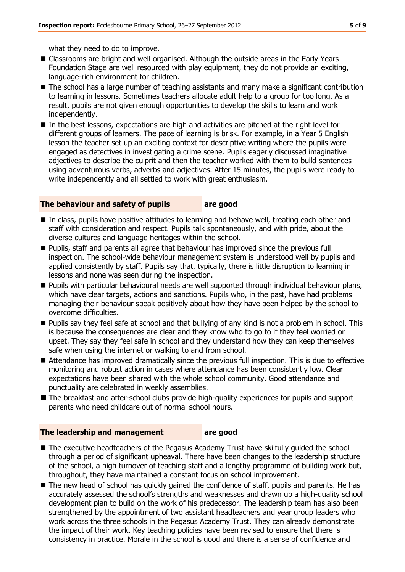what they need to do to improve.

- Classrooms are bright and well organised. Although the outside areas in the Early Years Foundation Stage are well resourced with play equipment, they do not provide an exciting, language-rich environment for children.
- The school has a large number of teaching assistants and many make a significant contribution to learning in lessons. Sometimes teachers allocate adult help to a group for too long. As a result, pupils are not given enough opportunities to develop the skills to learn and work independently.
- In the best lessons, expectations are high and activities are pitched at the right level for different groups of learners. The pace of learning is brisk. For example, in a Year 5 English lesson the teacher set up an exciting context for descriptive writing where the pupils were engaged as detectives in investigating a crime scene. Pupils eagerly discussed imaginative adjectives to describe the culprit and then the teacher worked with them to build sentences using adventurous verbs, adverbs and adjectives. After 15 minutes, the pupils were ready to write independently and all settled to work with great enthusiasm.

#### **The behaviour and safety of pupils are good**

- In class, pupils have positive attitudes to learning and behave well, treating each other and staff with consideration and respect. Pupils talk spontaneously, and with pride, about the diverse cultures and language heritages within the school.
- Pupils, staff and parents all agree that behaviour has improved since the previous full inspection. The school-wide behaviour management system is understood well by pupils and applied consistently by staff. Pupils say that, typically, there is little disruption to learning in lessons and none was seen during the inspection.
- Pupils with particular behavioural needs are well supported through individual behaviour plans, which have clear targets, actions and sanctions. Pupils who, in the past, have had problems managing their behaviour speak positively about how they have been helped by the school to overcome difficulties.
- **Pupils say they feel safe at school and that bullying of any kind is not a problem in school. This** is because the consequences are clear and they know who to go to if they feel worried or upset. They say they feel safe in school and they understand how they can keep themselves safe when using the internet or walking to and from school.
- Attendance has improved dramatically since the previous full inspection. This is due to effective monitoring and robust action in cases where attendance has been consistently low. Clear expectations have been shared with the whole school community. Good attendance and punctuality are celebrated in weekly assemblies.
- The breakfast and after-school clubs provide high-quality experiences for pupils and support parents who need childcare out of normal school hours.

#### **The leadership and management are good**

- The executive headteachers of the Pegasus Academy Trust have skilfully guided the school through a period of significant upheaval. There have been changes to the leadership structure of the school, a high turnover of teaching staff and a lengthy programme of building work but, throughout, they have maintained a constant focus on school improvement.
- The new head of school has quickly gained the confidence of staff, pupils and parents. He has accurately assessed the school's strengths and weaknesses and drawn up a high-quality school development plan to build on the work of his predecessor. The leadership team has also been strengthened by the appointment of two assistant headteachers and year group leaders who work across the three schools in the Pegasus Academy Trust. They can already demonstrate the impact of their work. Key teaching policies have been revised to ensure that there is consistency in practice. Morale in the school is good and there is a sense of confidence and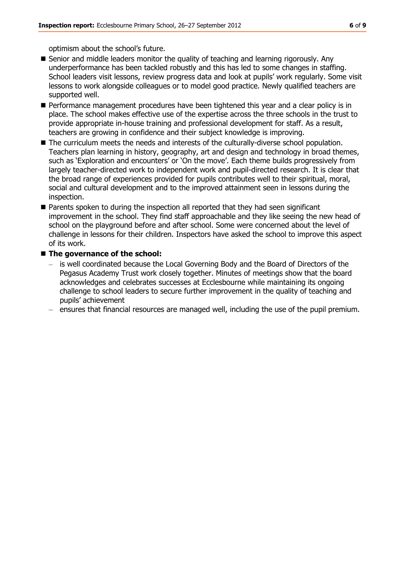optimism about the school's future.

- Senior and middle leaders monitor the quality of teaching and learning rigorously. Any underperformance has been tackled robustly and this has led to some changes in staffing. School leaders visit lessons, review progress data and look at pupils' work regularly. Some visit lessons to work alongside colleagues or to model good practice. Newly qualified teachers are supported well.
- **Performance management procedures have been tightened this year and a clear policy is in** place. The school makes effective use of the expertise across the three schools in the trust to provide appropriate in-house training and professional development for staff. As a result, teachers are growing in confidence and their subject knowledge is improving.
- The curriculum meets the needs and interests of the culturally-diverse school population. Teachers plan learning in history, geography, art and design and technology in broad themes, such as 'Exploration and encounters' or 'On the move'. Each theme builds progressively from largely teacher-directed work to independent work and pupil-directed research. It is clear that the broad range of experiences provided for pupils contributes well to their spiritual, moral, social and cultural development and to the improved attainment seen in lessons during the inspection.
- Parents spoken to during the inspection all reported that they had seen significant improvement in the school. They find staff approachable and they like seeing the new head of school on the playground before and after school. Some were concerned about the level of challenge in lessons for their children. Inspectors have asked the school to improve this aspect of its work.

#### ■ The governance of the school:

- is well coordinated because the Local Governing Body and the Board of Directors of the Pegasus Academy Trust work closely together. Minutes of meetings show that the board acknowledges and celebrates successes at Ecclesbourne while maintaining its ongoing challenge to school leaders to secure further improvement in the quality of teaching and pupils' achievement
- ensures that financial resources are managed well, including the use of the pupil premium.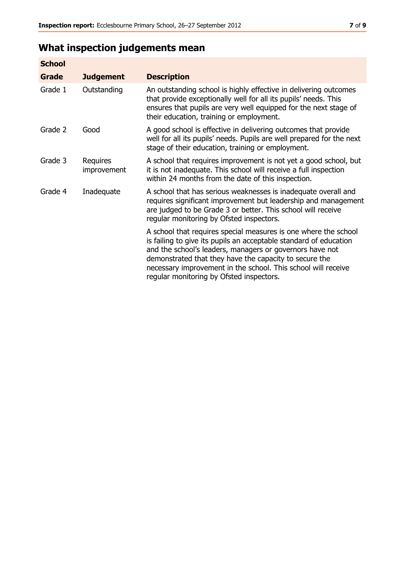# **What inspection judgements mean**

| <b>School</b> |                         |                                                                                                                                                                                                                                                                                                                                                                         |
|---------------|-------------------------|-------------------------------------------------------------------------------------------------------------------------------------------------------------------------------------------------------------------------------------------------------------------------------------------------------------------------------------------------------------------------|
| <b>Grade</b>  | <b>Judgement</b>        | <b>Description</b>                                                                                                                                                                                                                                                                                                                                                      |
| Grade 1       | Outstanding             | An outstanding school is highly effective in delivering outcomes<br>that provide exceptionally well for all its pupils' needs. This<br>ensures that pupils are very well equipped for the next stage of<br>their education, training or employment.                                                                                                                     |
| Grade 2       | Good                    | A good school is effective in delivering outcomes that provide<br>well for all its pupils' needs. Pupils are well prepared for the next<br>stage of their education, training or employment.                                                                                                                                                                            |
| Grade 3       | Requires<br>improvement | A school that requires improvement is not yet a good school, but<br>it is not inadequate. This school will receive a full inspection<br>within 24 months from the date of this inspection.                                                                                                                                                                              |
| Grade 4       | Inadequate              | A school that has serious weaknesses is inadequate overall and<br>requires significant improvement but leadership and management<br>are judged to be Grade 3 or better. This school will receive<br>regular monitoring by Ofsted inspectors.                                                                                                                            |
|               |                         | A school that requires special measures is one where the school<br>is failing to give its pupils an acceptable standard of education<br>and the school's leaders, managers or governors have not<br>demonstrated that they have the capacity to secure the<br>necessary improvement in the school. This school will receive<br>regular monitoring by Ofsted inspectors. |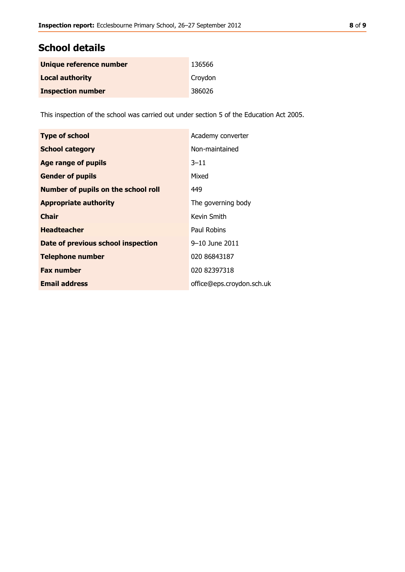# **School details**

| Unique reference number  | 136566  |
|--------------------------|---------|
| <b>Local authority</b>   | Croydon |
| <b>Inspection number</b> | 386026  |

This inspection of the school was carried out under section 5 of the Education Act 2005.

| <b>Type of school</b>                      | Academy converter         |
|--------------------------------------------|---------------------------|
| <b>School category</b>                     | Non-maintained            |
| <b>Age range of pupils</b>                 | $3 - 11$                  |
| <b>Gender of pupils</b>                    | Mixed                     |
| <b>Number of pupils on the school roll</b> | 449                       |
| <b>Appropriate authority</b>               | The governing body        |
| <b>Chair</b>                               | Kevin Smith               |
| <b>Headteacher</b>                         | Paul Robins               |
| Date of previous school inspection         | 9–10 June 2011            |
| <b>Telephone number</b>                    | 020 86843187              |
| <b>Fax number</b>                          | 020 82397318              |
| <b>Email address</b>                       | office@eps.croydon.sch.uk |